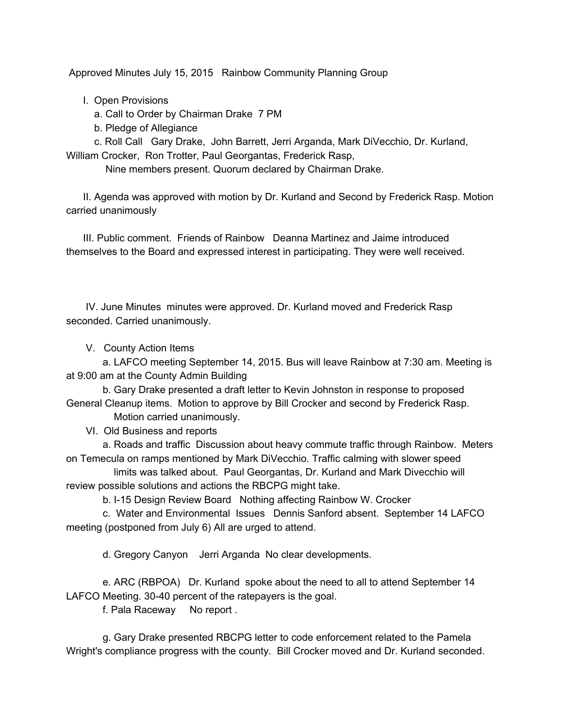Approved Minutes July 15, 2015 Rainbow Community Planning Group

I. Open Provisions

a. Call to Order by Chairman Drake 7 PM

b. Pledge of Allegiance

c. Roll Call Gary Drake, John Barrett, Jerri Arganda, Mark DiVecchio, Dr. Kurland, William Crocker, Ron Trotter, Paul Georgantas, Frederick Rasp,

Nine members present. Quorum declared by Chairman Drake.

II. Agenda was approved with motion by Dr. Kurland and Second by Frederick Rasp. Motion carried unanimously

III. Public comment. Friends of Rainbow Deanna Martinez and Jaime introduced themselves to the Board and expressed interest in participating. They were well received.

IV. June Minutes minutes were approved. Dr. Kurland moved and Frederick Rasp seconded. Carried unanimously.

V. County Action Items

a. LAFCO meeting September 14, 2015. Bus will leave Rainbow at 7:30 am. Meeting is at 9:00 am at the County Admin Building

b. Gary Drake presented a draft letter to Kevin Johnston in response to proposed General Cleanup items. Motion to approve by Bill Crocker and second by Frederick Rasp.

Motion carried unanimously.

VI. Old Business and reports

a. Roads and traffic Discussion about heavy commute traffic through Rainbow. Meters on Temecula on ramps mentioned by Mark DiVecchio. Traffic calming with slower speed

limits was talked about. Paul Georgantas, Dr. Kurland and Mark Divecchio will review possible solutions and actions the RBCPG might take.

b. I-15 Design Review Board Nothing affecting Rainbow W. Crocker

c. Water and Environmental Issues Dennis Sanford absent. September 14 LAFCO meeting (postponed from July 6) All are urged to attend.

d. Gregory Canyon Jerri Arganda No clear developments.

e. ARC (RBPOA) Dr. Kurland spoke about the need to all to attend September 14 LAFCO Meeting. 30-40 percent of the ratepayers is the goal.

f. Pala Raceway No report .

g. Gary Drake presented RBCPG letter to code enforcement related to the Pamela Wright's compliance progress with the county. Bill Crocker moved and Dr. Kurland seconded.